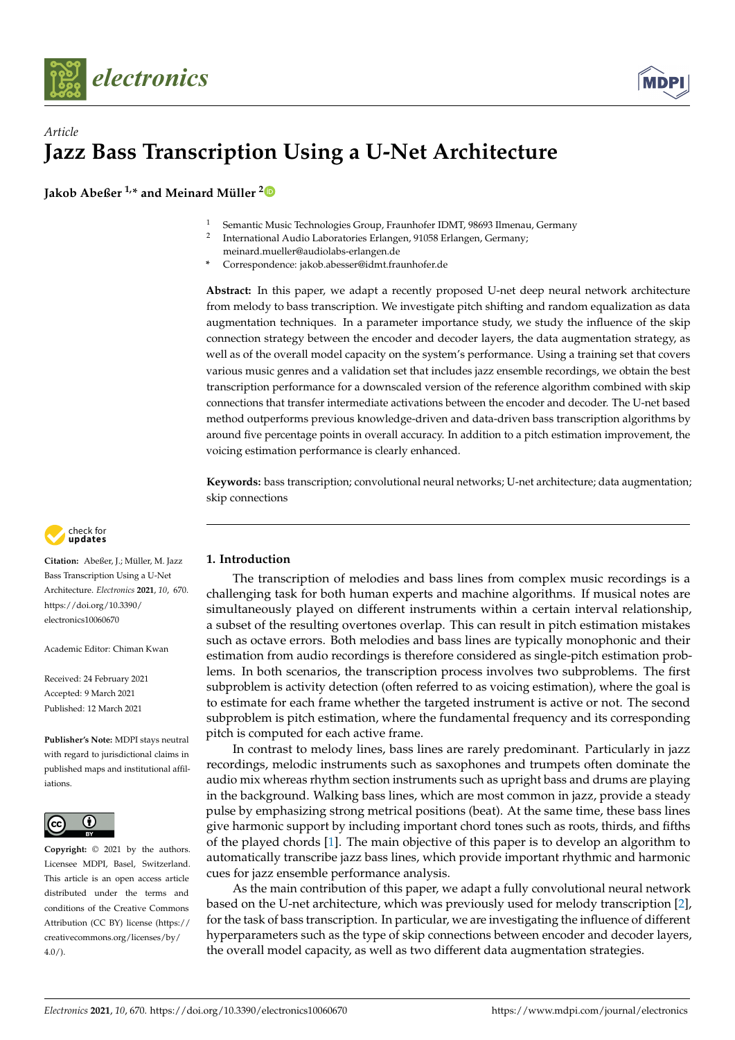



# *Article* **Jazz Bass Transcription Using a U-Net Architecture**

**Jakob Abeßer 1,\* and Meinard Müller [2](https://orcid.org/0000-0001-6062-7524)**

- <sup>1</sup> Semantic Music Technologies Group, Fraunhofer IDMT, 98693 Ilmenau, Germany
- 2 International Audio Laboratories Erlangen, 91058 Erlangen, Germany; meinard.mueller@audiolabs-erlangen.de
	- **\*** Correspondence: jakob.abesser@idmt.fraunhofer.de

**Abstract:** In this paper, we adapt a recently proposed U-net deep neural network architecture from melody to bass transcription. We investigate pitch shifting and random equalization as data augmentation techniques. In a parameter importance study, we study the influence of the skip connection strategy between the encoder and decoder layers, the data augmentation strategy, as well as of the overall model capacity on the system's performance. Using a training set that covers various music genres and a validation set that includes jazz ensemble recordings, we obtain the best transcription performance for a downscaled version of the reference algorithm combined with skip connections that transfer intermediate activations between the encoder and decoder. The U-net based method outperforms previous knowledge-driven and data-driven bass transcription algorithms by around five percentage points in overall accuracy. In addition to a pitch estimation improvement, the voicing estimation performance is clearly enhanced.

**Keywords:** bass transcription; convolutional neural networks; U-net architecture; data augmentation; skip connections



**Citation:** Abeßer, J.; Müller, M. Jazz Bass Transcription Using a U-Net Architecture. *Electronics* **2021**, *10*, 670. [https://doi.org/10.3390/](https://doi.org/10.3390/electronics10060670) [electronics10060670](https://doi.org/10.3390/electronics10060670)

Academic Editor: Chiman Kwan

Received: 24 February 2021 Accepted: 9 March 2021 Published: 12 March 2021

**Publisher's Note:** MDPI stays neutral with regard to jurisdictional claims in published maps and institutional affiliations.



**Copyright:** © 2021 by the authors. Licensee MDPI, Basel, Switzerland. This article is an open access article distributed under the terms and conditions of the Creative Commons Attribution (CC BY) license (https:/[/](https://creativecommons.org/licenses/by/4.0/) [creativecommons.org/licenses/by/](https://creativecommons.org/licenses/by/4.0/)  $4.0/$ ).

## <span id="page-0-0"></span>**1. Introduction**

The transcription of melodies and bass lines from complex music recordings is a challenging task for both human experts and machine algorithms. If musical notes are simultaneously played on different instruments within a certain interval relationship, a subset of the resulting overtones overlap. This can result in pitch estimation mistakes such as octave errors. Both melodies and bass lines are typically monophonic and their estimation from audio recordings is therefore considered as single-pitch estimation problems. In both scenarios, the transcription process involves two subproblems. The first subproblem is activity detection (often referred to as voicing estimation), where the goal is to estimate for each frame whether the targeted instrument is active or not. The second subproblem is pitch estimation, where the fundamental frequency and its corresponding pitch is computed for each active frame.

In contrast to melody lines, bass lines are rarely predominant. Particularly in jazz recordings, melodic instruments such as saxophones and trumpets often dominate the audio mix whereas rhythm section instruments such as upright bass and drums are playing in the background. Walking bass lines, which are most common in jazz, provide a steady pulse by emphasizing strong metrical positions (beat). At the same time, these bass lines give harmonic support by including important chord tones such as roots, thirds, and fifths of the played chords [\[1\]](#page-8-0). The main objective of this paper is to develop an algorithm to automatically transcribe jazz bass lines, which provide important rhythmic and harmonic cues for jazz ensemble performance analysis.

As the main contribution of this paper, we adapt a fully convolutional neural network based on the U-net architecture, which was previously used for melody transcription [\[2\]](#page-8-1), for the task of bass transcription. In particular, we are investigating the influence of different hyperparameters such as the type of skip connections between encoder and decoder layers, the overall model capacity, as well as two different data augmentation strategies.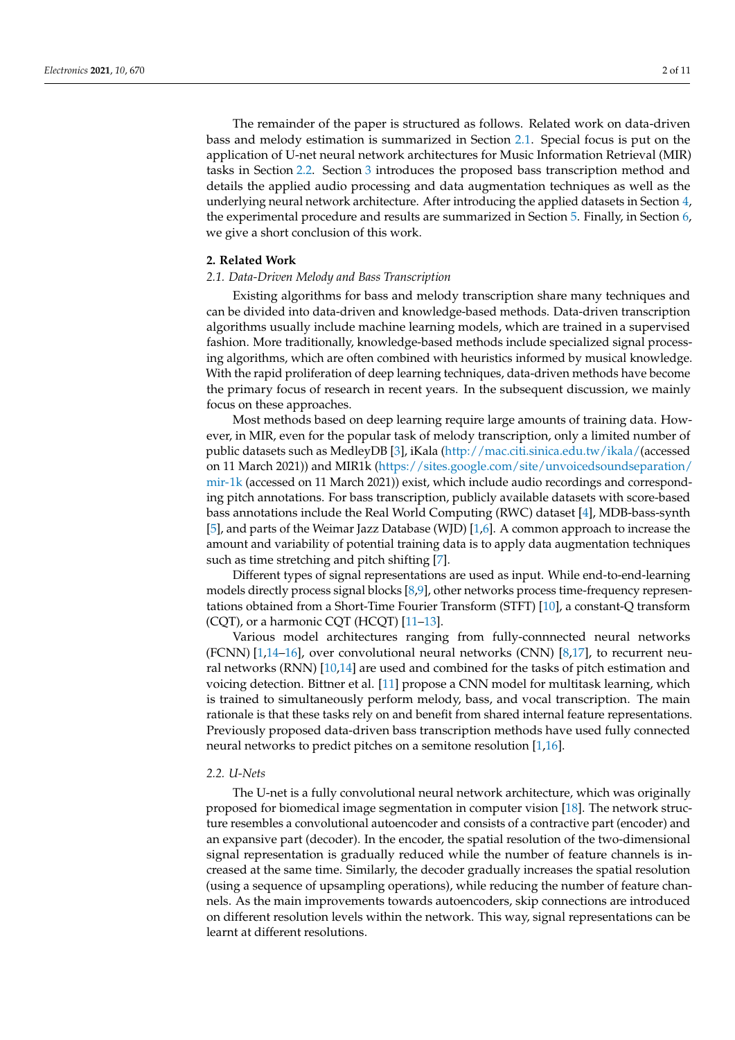The remainder of the paper is structured as follows. Related work on data-driven bass and melody estimation is summarized in Section [2.1.](#page-1-0) Special focus is put on the application of U-net neural network architectures for Music Information Retrieval (MIR) tasks in Section [2.2.](#page-1-1) Section [3](#page-2-0) introduces the proposed bass transcription method and details the applied audio processing and data augmentation techniques as well as the underlying neural network architecture. After introducing the applied datasets in Section [4,](#page-4-0) the experimental procedure and results are summarized in Section [5.](#page-5-0) Finally, in Section [6,](#page-8-2) we give a short conclusion of this work.

## **2. Related Work**

#### <span id="page-1-0"></span>*2.1. Data-Driven Melody and Bass Transcription*

Existing algorithms for bass and melody transcription share many techniques and can be divided into data-driven and knowledge-based methods. Data-driven transcription algorithms usually include machine learning models, which are trained in a supervised fashion. More traditionally, knowledge-based methods include specialized signal processing algorithms, which are often combined with heuristics informed by musical knowledge. With the rapid proliferation of deep learning techniques, data-driven methods have become the primary focus of research in recent years. In the subsequent discussion, we mainly focus on these approaches.

Most methods based on deep learning require large amounts of training data. However, in MIR, even for the popular task of melody transcription, only a limited number of public datasets such as MedleyDB [\[3\]](#page-9-0), iKala [\(http://mac.citi.sinica.edu.tw/ikala/\(](http://mac.citi.sinica.edu.tw/ikala/)accessed on 11 March 2021)) and MIR1k [\(https://sites.google.com/site/unvoicedsoundseparation/](https://sites.google.com/site/unvoicedsoundseparation/mir-1k) [mir-1k](https://sites.google.com/site/unvoicedsoundseparation/mir-1k) (accessed on 11 March 2021)) exist, which include audio recordings and corresponding pitch annotations. For bass transcription, publicly available datasets with score-based bass annotations include the Real World Computing (RWC) dataset [\[4\]](#page-9-1), MDB-bass-synth [\[5\]](#page-9-2), and parts of the Weimar Jazz Database (WJD) [\[1](#page-8-0)[,6\]](#page-9-3). A common approach to increase the amount and variability of potential training data is to apply data augmentation techniques such as time stretching and pitch shifting [\[7\]](#page-9-4).

Different types of signal representations are used as input. While end-to-end-learning models directly process signal blocks [\[8](#page-9-5)[,9\]](#page-9-6), other networks process time-frequency representations obtained from a Short-Time Fourier Transform (STFT) [\[10\]](#page-9-7), a constant-Q transform (CQT), or a harmonic CQT (HCQT) [\[11–](#page-9-8)[13\]](#page-9-9).

Various model architectures ranging from fully-connnected neural networks (FCNN) [\[1,](#page-8-0)[14–](#page-9-10)[16\]](#page-9-11), over convolutional neural networks (CNN) [\[8,](#page-9-5)[17\]](#page-9-12), to recurrent neural networks (RNN) [\[10,](#page-9-7)[14\]](#page-9-10) are used and combined for the tasks of pitch estimation and voicing detection. Bittner et al. [\[11\]](#page-9-8) propose a CNN model for multitask learning, which is trained to simultaneously perform melody, bass, and vocal transcription. The main rationale is that these tasks rely on and benefit from shared internal feature representations. Previously proposed data-driven bass transcription methods have used fully connected neural networks to predict pitches on a semitone resolution [\[1](#page-8-0)[,16\]](#page-9-11).

## <span id="page-1-1"></span>*2.2. U-Nets*

The U-net is a fully convolutional neural network architecture, which was originally proposed for biomedical image segmentation in computer vision [\[18\]](#page-9-13). The network structure resembles a convolutional autoencoder and consists of a contractive part (encoder) and an expansive part (decoder). In the encoder, the spatial resolution of the two-dimensional signal representation is gradually reduced while the number of feature channels is increased at the same time. Similarly, the decoder gradually increases the spatial resolution (using a sequence of upsampling operations), while reducing the number of feature channels. As the main improvements towards autoencoders, skip connections are introduced on different resolution levels within the network. This way, signal representations can be learnt at different resolutions.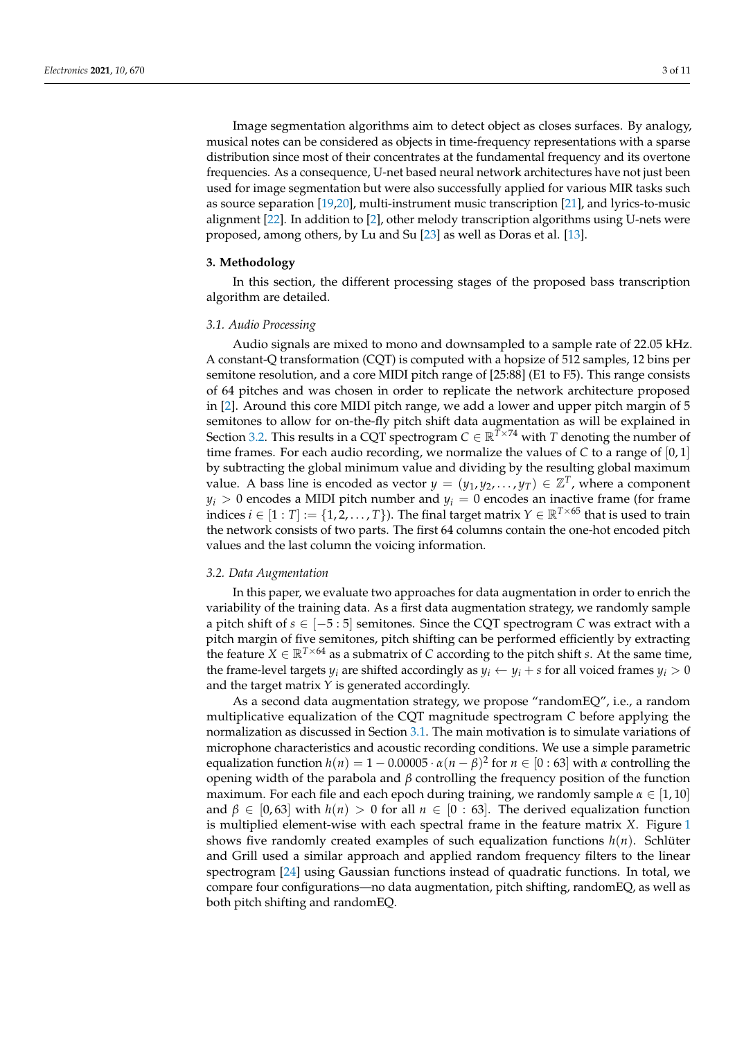Image segmentation algorithms aim to detect object as closes surfaces. By analogy, musical notes can be considered as objects in time-frequency representations with a sparse distribution since most of their concentrates at the fundamental frequency and its overtone frequencies. As a consequence, U-net based neural network architectures have not just been used for image segmentation but were also successfully applied for various MIR tasks such as source separation [\[19](#page-9-14)[,20\]](#page-9-15), multi-instrument music transcription [\[21\]](#page-9-16), and lyrics-to-music alignment [\[22\]](#page-9-17). In addition to [\[2\]](#page-8-1), other melody transcription algorithms using U-nets were proposed, among others, by Lu and Su [\[23\]](#page-9-18) as well as Doras et al. [\[13\]](#page-9-9).

## <span id="page-2-0"></span>**3. Methodology**

In this section, the different processing stages of the proposed bass transcription algorithm are detailed.

## <span id="page-2-2"></span>*3.1. Audio Processing*

Audio signals are mixed to mono and downsampled to a sample rate of 22.05 kHz. A constant-Q transformation (CQT) is computed with a hopsize of 512 samples, 12 bins per semitone resolution, and a core MIDI pitch range of [25:88] (E1 to F5). This range consists of 64 pitches and was chosen in order to replicate the network architecture proposed in [\[2\]](#page-8-1). Around this core MIDI pitch range, we add a lower and upper pitch margin of 5 semitones to allow for on-the-fly pitch shift data augmentation as will be explained in Section [3.2.](#page-2-1) This results in a CQT spectrogram  $C \in \mathbb{R}^{T \times 74}$  with *T* denoting the number of time frames. For each audio recording, we normalize the values of  $C$  to a range of  $[0,1]$ by subtracting the global minimum value and dividing by the resulting global maximum value. A bass line is encoded as vector  $y = (y_1, y_2, \ldots, y_T) \in \mathbb{Z}^T$ , where a component  $y_i > 0$  encodes a MIDI pitch number and  $y_i = 0$  encodes an inactive frame (for frame indices  $i \in [1 : T] := \{1, 2, ..., T\}$ . The final target matrix  $Y \in \mathbb{R}^{T \times 65}$  that is used to train the network consists of two parts. The first 64 columns contain the one-hot encoded pitch values and the last column the voicing information.

## <span id="page-2-1"></span>*3.2. Data Augmentation*

In this paper, we evaluate two approaches for data augmentation in order to enrich the variability of the training data. As a first data augmentation strategy, we randomly sample a pitch shift of *s* ∈ [−5 : 5] semitones. Since the CQT spectrogram *C* was extract with a pitch margin of five semitones, pitch shifting can be performed efficiently by extracting the feature  $X \in \mathbb{R}^{T \times 64}$  as a submatrix of *C* according to the pitch shift *s*. At the same time, the frame-level targets  $y_i$  are shifted accordingly as  $y_i \leftarrow y_i + s$  for all voiced frames  $y_i > 0$ and the target matrix *Y* is generated accordingly.

As a second data augmentation strategy, we propose "randomEQ", i.e., a random multiplicative equalization of the CQT magnitude spectrogram *C* before applying the normalization as discussed in Section [3.1.](#page-2-2) The main motivation is to simulate variations of microphone characteristics and acoustic recording conditions. We use a simple parametric equalization function  $h(n) = 1 - 0.00005 \cdot \alpha (n - \beta)^2$  for  $n \in [0:63]$  with  $\alpha$  controlling the opening width of the parabola and *β* controlling the frequency position of the function maximum. For each file and each epoch during training, we randomly sample  $\alpha \in [1, 10]$ and  $\beta \in [0, 63]$  with  $h(n) > 0$  for all  $n \in [0: 63]$ . The derived equalization function is multiplied element-wise with each spectral frame in the feature matrix *X*. Figure [1](#page-3-0) shows five randomly created examples of such equalization functions *h*(*n*). Schlüter and Grill used a similar approach and applied random frequency filters to the linear spectrogram [\[24\]](#page-9-19) using Gaussian functions instead of quadratic functions. In total, we compare four configurations—no data augmentation, pitch shifting, randomEQ, as well as both pitch shifting and randomEQ.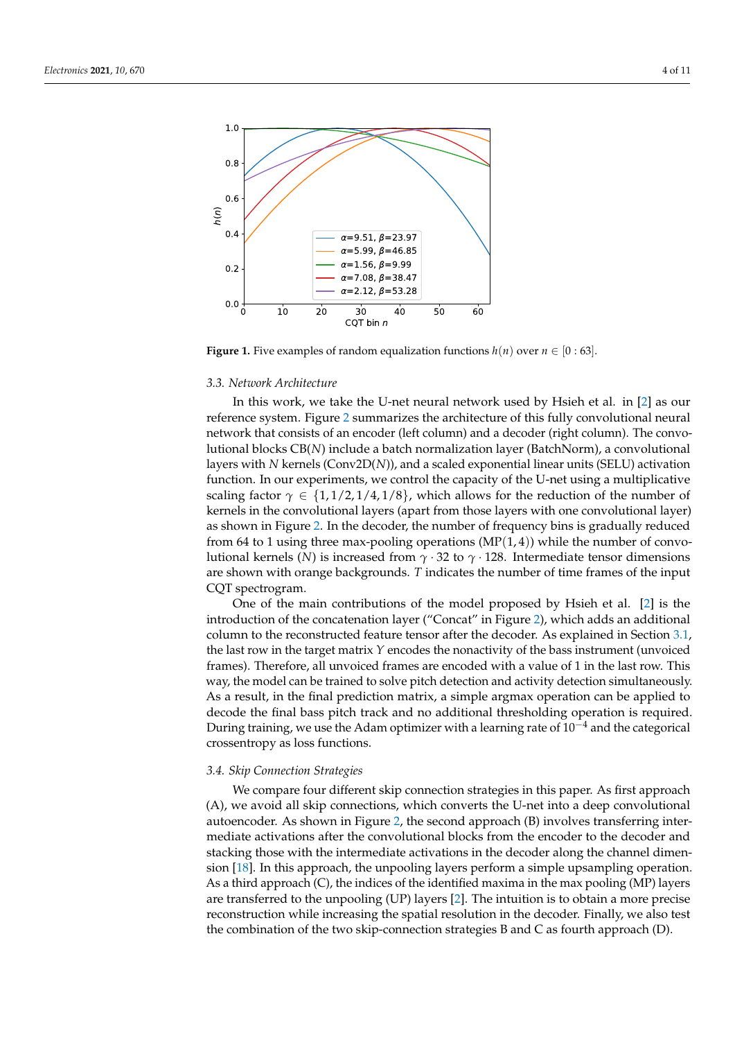<span id="page-3-0"></span>

**Figure 1.** Five examples of random equalization functions  $h(n)$  over  $n \in [0:63]$ .

#### <span id="page-3-2"></span>*3.3. Network Architecture*

In this work, we take the U-net neural network used by Hsieh et al. in [\[2\]](#page-8-1) as our reference system. Figure [2](#page-4-1) summarizes the architecture of this fully convolutional neural network that consists of an encoder (left column) and a decoder (right column). The convolutional blocks CB(*N*) include a batch normalization layer (BatchNorm), a convolutional layers with *N* kernels (Conv2D(*N*)), and a scaled exponential linear units (SELU) activation function. In our experiments, we control the capacity of the U-net using a multiplicative scaling factor  $\gamma \in \{1, 1/2, 1/4, 1/8\}$ , which allows for the reduction of the number of kernels in the convolutional layers (apart from those layers with one convolutional layer) as shown in Figure [2.](#page-4-1) In the decoder, the number of frequency bins is gradually reduced from 64 to 1 using three max-pooling operations  $(MP(1,4))$  while the number of convolutional kernels (*N*) is increased from *γ* · 32 to *γ* · 128. Intermediate tensor dimensions are shown with orange backgrounds. *T* indicates the number of time frames of the input CQT spectrogram.

One of the main contributions of the model proposed by Hsieh et al. [\[2\]](#page-8-1) is the introduction of the concatenation layer ("Concat" in Figure [2\)](#page-4-1), which adds an additional column to the reconstructed feature tensor after the decoder. As explained in Section [3.1,](#page-2-2) the last row in the target matrix *Y* encodes the nonactivity of the bass instrument (unvoiced frames). Therefore, all unvoiced frames are encoded with a value of 1 in the last row. This way, the model can be trained to solve pitch detection and activity detection simultaneously. As a result, in the final prediction matrix, a simple argmax operation can be applied to decode the final bass pitch track and no additional thresholding operation is required. During training, we use the Adam optimizer with a learning rate of  $10^{-4}$  and the categorical crossentropy as loss functions.

#### <span id="page-3-1"></span>*3.4. Skip Connection Strategies*

We compare four different skip connection strategies in this paper. As first approach (A), we avoid all skip connections, which converts the U-net into a deep convolutional autoencoder. As shown in Figure [2,](#page-4-1) the second approach (B) involves transferring intermediate activations after the convolutional blocks from the encoder to the decoder and stacking those with the intermediate activations in the decoder along the channel dimension [\[18\]](#page-9-13). In this approach, the unpooling layers perform a simple upsampling operation. As a third approach (C), the indices of the identified maxima in the max pooling (MP) layers are transferred to the unpooling (UP) layers [\[2\]](#page-8-1). The intuition is to obtain a more precise reconstruction while increasing the spatial resolution in the decoder. Finally, we also test the combination of the two skip-connection strategies B and C as fourth approach (D).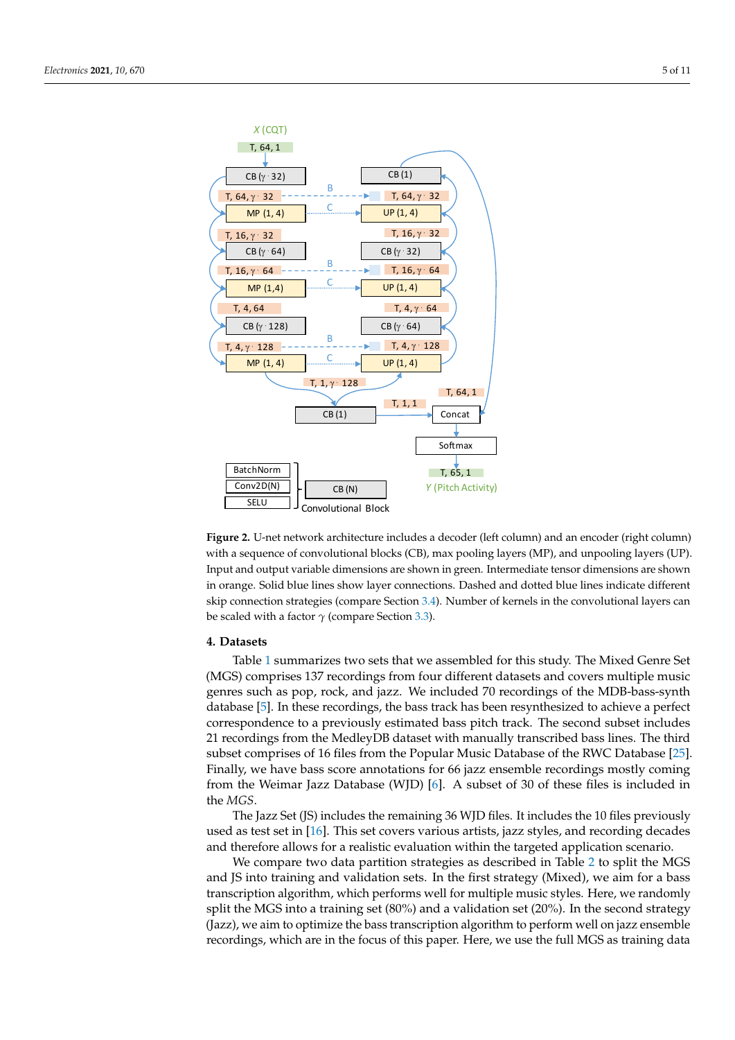<span id="page-4-1"></span>

**Figure 2.** U-net network architecture includes a decoder (left column) and an encoder (right column) with a sequence of convolutional blocks (CB), max pooling layers (MP), and unpooling layers (UP). Input and output variable dimensions are shown in green. Intermediate tensor dimensions are shown in orange. Solid blue lines show layer connections. Dashed and dotted blue lines indicate different skip connection strategies (compare Section [3.4\)](#page-3-1). Number of kernels in the convolutional layers can be scaled with a factor *γ* (compare Section [3.3\)](#page-3-2).

#### <span id="page-4-0"></span>**4. Datasets**

Table [1](#page-5-1) summarizes two sets that we assembled for this study. The Mixed Genre Set (MGS) comprises 137 recordings from four different datasets and covers multiple music genres such as pop, rock, and jazz. We included 70 recordings of the MDB-bass-synth database [\[5\]](#page-9-2). In these recordings, the bass track has been resynthesized to achieve a perfect correspondence to a previously estimated bass pitch track. The second subset includes 21 recordings from the MedleyDB dataset with manually transcribed bass lines. The third subset comprises of 16 files from the Popular Music Database of the RWC Database [\[25\]](#page-9-20). Finally, we have bass score annotations for 66 jazz ensemble recordings mostly coming from the Weimar Jazz Database (WJD) [\[6\]](#page-9-3). A subset of 30 of these files is included in the *MGS*.

The Jazz Set (JS) includes the remaining 36 WJD files. It includes the 10 files previously used as test set in [\[16\]](#page-9-11). This set covers various artists, jazz styles, and recording decades and therefore allows for a realistic evaluation within the targeted application scenario.

We compare two data partition strategies as described in Table [2](#page-5-2) to split the MGS and JS into training and validation sets. In the first strategy (Mixed), we aim for a bass transcription algorithm, which performs well for multiple music styles. Here, we randomly split the MGS into a training set (80%) and a validation set (20%). In the second strategy (Jazz), we aim to optimize the bass transcription algorithm to perform well on jazz ensemble recordings, which are in the focus of this paper. Here, we use the full MGS as training data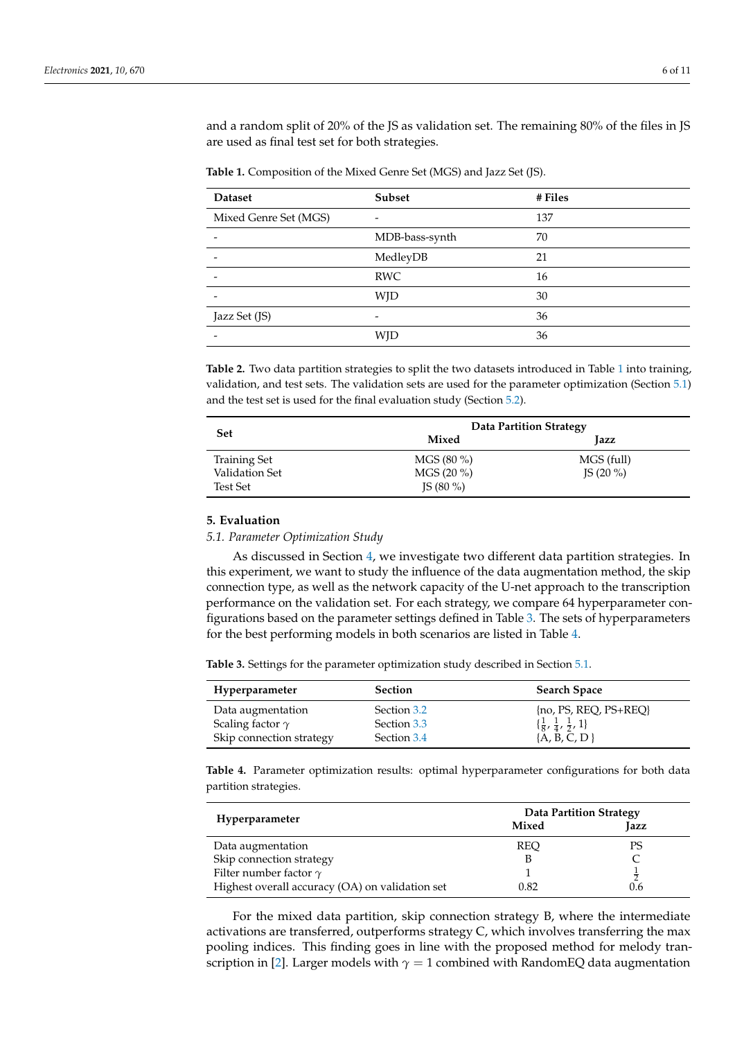and a random split of 20% of the JS as validation set. The remaining 80% of the files in JS are used as final test set for both strategies.

<span id="page-5-1"></span>**Table 1.** Composition of the Mixed Genre Set (MGS) and Jazz Set (JS).

| <b>Dataset</b>        | <b>Subset</b>  | # Files |
|-----------------------|----------------|---------|
| Mixed Genre Set (MGS) |                | 137     |
|                       | MDB-bass-synth | 70      |
|                       | MedleyDB       | 21      |
|                       | <b>RWC</b>     | 16      |
|                       | WJD            | 30      |
| Jazz Set (JS)         | -              | 36      |
|                       | WID            | 36      |

<span id="page-5-2"></span>**Table 2.** Two data partition strategies to split the two datasets introduced in Table [1](#page-5-1) into training, validation, and test sets. The validation sets are used for the parameter optimization (Section [5.1\)](#page-5-3) and the test set is used for the final evaluation study (Section [5.2\)](#page-6-0).

|                 | <b>Data Partition Strategy</b> |             |  |
|-----------------|--------------------------------|-------------|--|
| <b>Set</b>      | Mixed                          | Jazz        |  |
| Training Set    | $MGS(80\%)$                    | MGS (full)  |  |
| Validation Set  | $MGS(20\%)$                    | IS $(20\%)$ |  |
| <b>Test Set</b> | IS $(80\%)$                    |             |  |

## <span id="page-5-0"></span>**5. Evaluation**

<span id="page-5-3"></span>*5.1. Parameter Optimization Study*

As discussed in Section [4,](#page-4-0) we investigate two different data partition strategies. In this experiment, we want to study the influence of the data augmentation method, the skip connection type, as well as the network capacity of the U-net approach to the transcription performance on the validation set. For each strategy, we compare 64 hyperparameter configurations based on the parameter settings defined in Table [3.](#page-5-4) The sets of hyperparameters for the best performing models in both scenarios are listed in Table [4.](#page-5-5)

<span id="page-5-4"></span>**Table 3.** Settings for the parameter optimization study described in Section [5.1.](#page-5-3)

| Hyperparameter           | <b>Section</b> | <b>Search Space</b>                            |
|--------------------------|----------------|------------------------------------------------|
| Data augmentation        | Section 3.2    | $[no, PS, RED, PS+RED]$                        |
| Scaling factor $\gamma$  | Section 3.3    | $\{\frac{1}{8}, \frac{1}{4}, \frac{1}{2}, 1\}$ |
| Skip connection strategy | Section 3.4    | $\{A, B, C, D\}$                               |

<span id="page-5-5"></span>**Table 4.** Parameter optimization results: optimal hyperparameter configurations for both data partition strategies.

|                                                 | <b>Data Partition Strategy</b> |      |  |
|-------------------------------------------------|--------------------------------|------|--|
| Hyperparameter                                  | Mixed                          | Jazz |  |
| Data augmentation                               | <b>REO</b>                     | PS   |  |
| Skip connection strategy                        |                                |      |  |
| Filter number factor $\gamma$                   |                                |      |  |
| Highest overall accuracy (OA) on validation set | 0.82                           | U.6  |  |

For the mixed data partition, skip connection strategy B, where the intermediate activations are transferred, outperforms strategy C, which involves transferring the max pooling indices. This finding goes in line with the proposed method for melody tran-scription in [\[2\]](#page-8-1). Larger models with  $\gamma = 1$  combined with RandomEQ data augmentation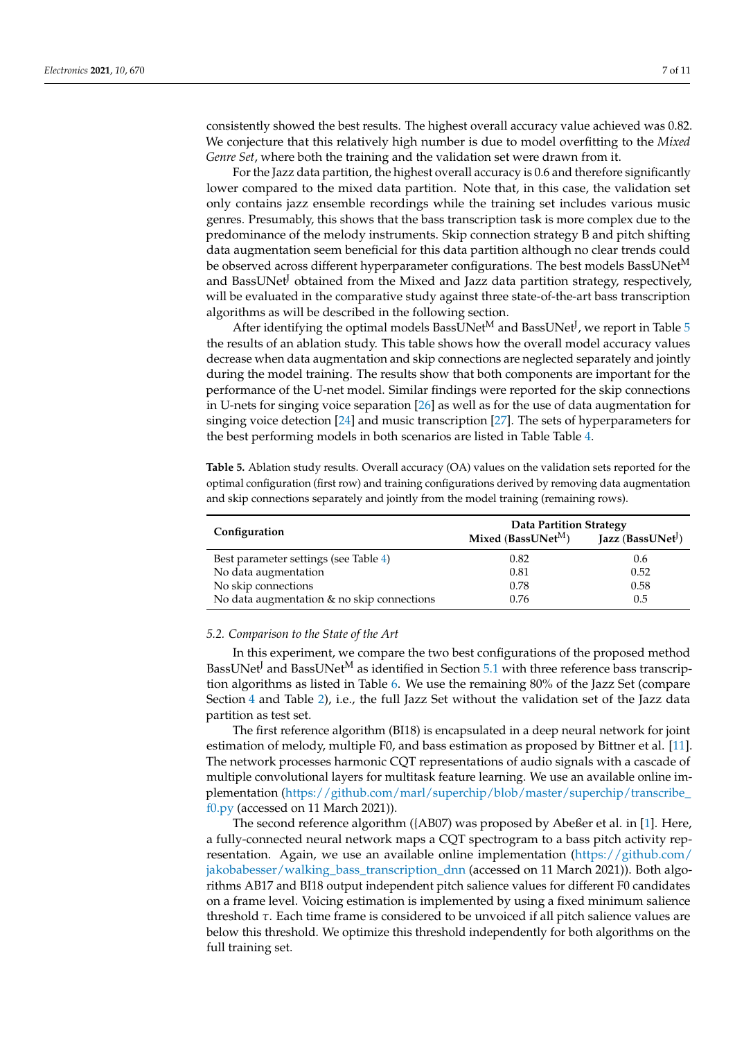consistently showed the best results. The highest overall accuracy value achieved was 0.82. We conjecture that this relatively high number is due to model overfitting to the *Mixed Genre Set*, where both the training and the validation set were drawn from it.

For the Jazz data partition, the highest overall accuracy is 0.6 and therefore significantly lower compared to the mixed data partition. Note that, in this case, the validation set only contains jazz ensemble recordings while the training set includes various music genres. Presumably, this shows that the bass transcription task is more complex due to the predominance of the melody instruments. Skip connection strategy B and pitch shifting data augmentation seem beneficial for this data partition although no clear trends could be observed across different hyperparameter configurations. The best models BassUNet<sup>M</sup> and BassUNet<sup>J</sup> obtained from the Mixed and Jazz data partition strategy, respectively, will be evaluated in the comparative study against three state-of-the-art bass transcription algorithms as will be described in the following section.

After identifying the optimal models BassUNet $^{\rm M}$  and BassUNet $^{\rm J}$ , we report in Table  $5$ the results of an ablation study. This table shows how the overall model accuracy values decrease when data augmentation and skip connections are neglected separately and jointly during the model training. The results show that both components are important for the performance of the U-net model. Similar findings were reported for the skip connections in U-nets for singing voice separation [\[26\]](#page-10-0) as well as for the use of data augmentation for singing voice detection [\[24\]](#page-9-19) and music transcription [\[27\]](#page-10-1). The sets of hyperparameters for the best performing models in both scenarios are listed in Table Table [4.](#page-5-5)

<span id="page-6-1"></span>**Table 5.** Ablation study results. Overall accuracy (OA) values on the validation sets reported for the optimal configuration (first row) and training configurations derived by removing data augmentation and skip connections separately and jointly from the model training (remaining rows).

| Configuration                              | <b>Data Partition Strategy</b> |                     |  |
|--------------------------------------------|--------------------------------|---------------------|--|
|                                            | Mixed (BassUNet <sup>M</sup> ) | Jazz $(BassUNet^j)$ |  |
| Best parameter settings (see Table 4)      | 0.82                           | 0.6                 |  |
| No data augmentation                       | 0.81                           | 0.52                |  |
| No skip connections                        | 0.78                           | 0.58                |  |
| No data augmentation & no skip connections | 0.76                           | 0.5                 |  |

#### <span id="page-6-0"></span>*5.2. Comparison to the State of the Art*

In this experiment, we compare the two best configurations of the proposed method BassUNet<sup>J</sup> and BassUNet<sup>M</sup> as identified in Section [5.1](#page-5-3) with three reference bass transcription algorithms as listed in Table [6.](#page-7-0) We use the remaining 80% of the Jazz Set (compare Section [4](#page-4-0) and Table [2\)](#page-5-2), i.e., the full Jazz Set without the validation set of the Jazz data partition as test set.

The first reference algorithm (BI18) is encapsulated in a deep neural network for joint estimation of melody, multiple F0, and bass estimation as proposed by Bittner et al. [\[11\]](#page-9-8). The network processes harmonic CQT representations of audio signals with a cascade of multiple convolutional layers for multitask feature learning. We use an available online implementation [\(https://github.com/marl/superchip/blob/master/superchip/transcribe\\_](https://github.com/marl/superchip/blob/master/superchip/transcribe_f0.py) [f0.py](https://github.com/marl/superchip/blob/master/superchip/transcribe_f0.py) (accessed on 11 March 2021)).

The second reference algorithm ({AB07) was proposed by Abeßer et al. in [\[1\]](#page-8-0). Here, a fully-connected neural network maps a CQT spectrogram to a bass pitch activity representation. Again, we use an available online implementation [\(https://github.com/](https://github.com/jakobabesser/walking_bass_transcription_dnn) [jakobabesser/walking\\_bass\\_transcription\\_dnn](https://github.com/jakobabesser/walking_bass_transcription_dnn) (accessed on 11 March 2021)). Both algorithms AB17 and BI18 output independent pitch salience values for different F0 candidates on a frame level. Voicing estimation is implemented by using a fixed minimum salience threshold *τ*. Each time frame is considered to be unvoiced if all pitch salience values are below this threshold. We optimize this threshold independently for both algorithms on the full training set.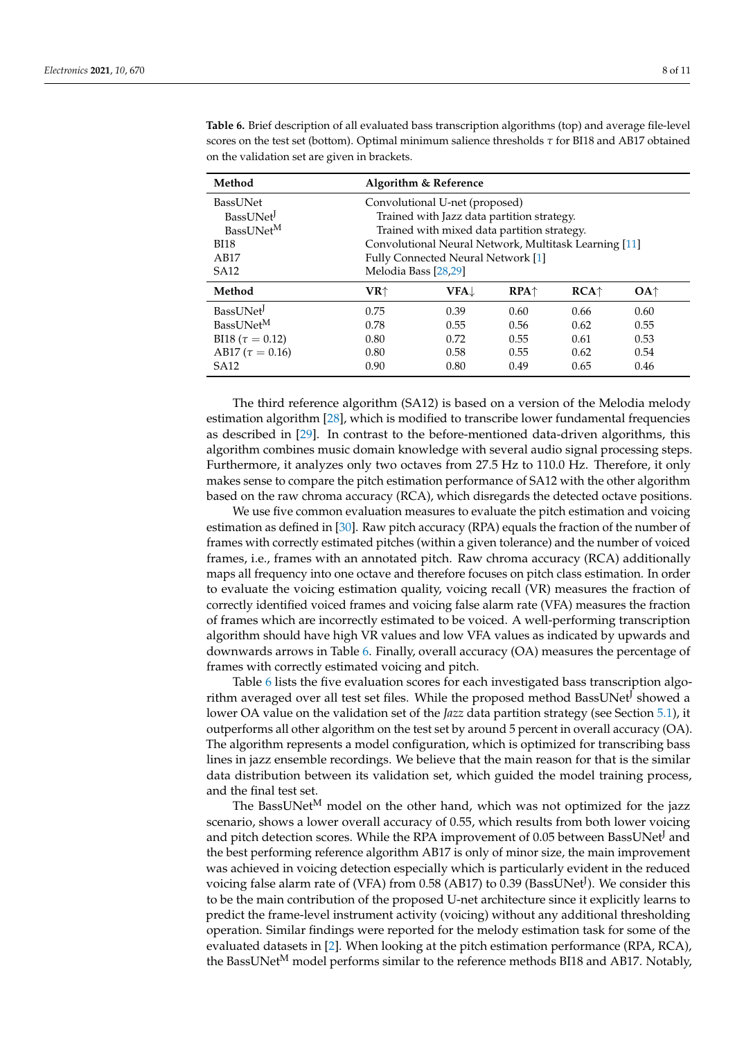| Method                 | Algorithm & Reference                                 |              |        |        |                 |
|------------------------|-------------------------------------------------------|--------------|--------|--------|-----------------|
| BassUNet               | Convolutional U-net (proposed)                        |              |        |        |                 |
| BassUNet <sup>J</sup>  | Trained with Jazz data partition strategy.            |              |        |        |                 |
| BassUNet <sup>M</sup>  | Trained with mixed data partition strategy.           |              |        |        |                 |
| <b>BI18</b>            | Convolutional Neural Network, Multitask Learning [11] |              |        |        |                 |
| AB17                   | Fully Connected Neural Network [1]                    |              |        |        |                 |
| <b>SA12</b>            | Melodia Bass [28,29]                                  |              |        |        |                 |
| Method                 | VR↑                                                   | <b>VFA</b> ↓ | $RPA+$ | $RCA+$ | OA <sup>†</sup> |
| BassUNet               | 0.75                                                  | 0.39         | 0.60   | 0.66   | 0.60            |
| BassUNet <sup>M</sup>  | 0.78                                                  | 0.55         | 0.56   | 0.62   | 0.55            |
| BI18 ( $\tau = 0.12$ ) | 0.80                                                  | 0.72         | 0.55   | 0.61   | 0.53            |
| AB17 ( $\tau = 0.16$ ) | 0.80                                                  | 0.58         | 0.55   | 0.62   | 0.54            |
| <b>SA12</b>            | 0.90                                                  | 0.80         | 0.49   | 0.65   | 0.46            |

<span id="page-7-0"></span>**Table 6.** Brief description of all evaluated bass transcription algorithms (top) and average file-level scores on the test set (bottom). Optimal minimum salience thresholds *τ* for BI18 and AB17 obtained on the validation set are given in brackets.

The third reference algorithm (SA12) is based on a version of the Melodia melody estimation algorithm [\[28\]](#page-10-2), which is modified to transcribe lower fundamental frequencies as described in [\[29\]](#page-10-3). In contrast to the before-mentioned data-driven algorithms, this algorithm combines music domain knowledge with several audio signal processing steps. Furthermore, it analyzes only two octaves from 27.5 Hz to 110.0 Hz. Therefore, it only makes sense to compare the pitch estimation performance of SA12 with the other algorithm based on the raw chroma accuracy (RCA), which disregards the detected octave positions.

We use five common evaluation measures to evaluate the pitch estimation and voicing estimation as defined in [\[30\]](#page-10-4). Raw pitch accuracy (RPA) equals the fraction of the number of frames with correctly estimated pitches (within a given tolerance) and the number of voiced frames, i.e., frames with an annotated pitch. Raw chroma accuracy (RCA) additionally maps all frequency into one octave and therefore focuses on pitch class estimation. In order to evaluate the voicing estimation quality, voicing recall (VR) measures the fraction of correctly identified voiced frames and voicing false alarm rate (VFA) measures the fraction of frames which are incorrectly estimated to be voiced. A well-performing transcription algorithm should have high VR values and low VFA values as indicated by upwards and downwards arrows in Table [6.](#page-7-0) Finally, overall accuracy (OA) measures the percentage of frames with correctly estimated voicing and pitch.

Table [6](#page-7-0) lists the five evaluation scores for each investigated bass transcription algorithm averaged over all test set files. While the proposed method BassUNet<sup>J</sup> showed a lower OA value on the validation set of the *Jazz* data partition strategy (see Section [5.1\)](#page-5-3), it outperforms all other algorithm on the test set by around 5 percent in overall accuracy (OA). The algorithm represents a model configuration, which is optimized for transcribing bass lines in jazz ensemble recordings. We believe that the main reason for that is the similar data distribution between its validation set, which guided the model training process, and the final test set.

The BassUNet<sup>M</sup> model on the other hand, which was not optimized for the jazz scenario, shows a lower overall accuracy of 0.55, which results from both lower voicing and pitch detection scores. While the RPA improvement of 0.05 between BassUNet<sup>J</sup> and the best performing reference algorithm AB17 is only of minor size, the main improvement was achieved in voicing detection especially which is particularly evident in the reduced voicing false alarm rate of (VFA) from 0.58 (AB17) to 0.39 (BassUNet<sup>J</sup>). We consider this to be the main contribution of the proposed U-net architecture since it explicitly learns to predict the frame-level instrument activity (voicing) without any additional thresholding operation. Similar findings were reported for the melody estimation task for some of the evaluated datasets in [\[2\]](#page-8-1). When looking at the pitch estimation performance (RPA, RCA), the BassUNet<sup>M</sup> model performs similar to the reference methods BI18 and AB17. Notably,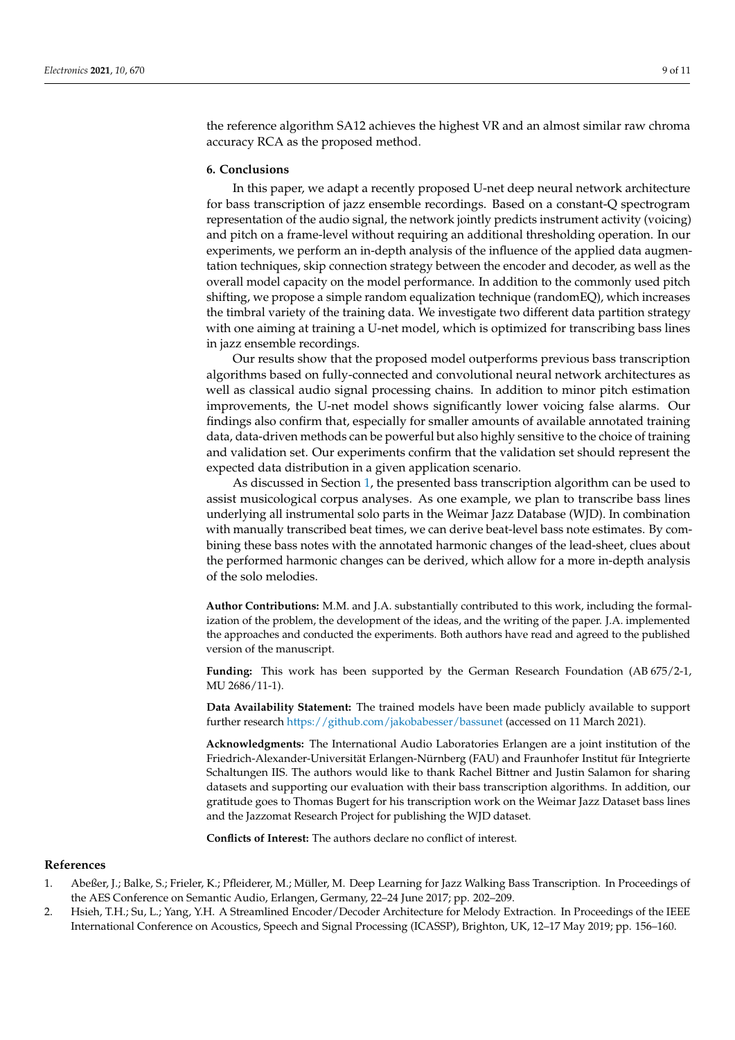the reference algorithm SA12 achieves the highest VR and an almost similar raw chroma accuracy RCA as the proposed method.

## <span id="page-8-2"></span>**6. Conclusions**

In this paper, we adapt a recently proposed U-net deep neural network architecture for bass transcription of jazz ensemble recordings. Based on a constant-Q spectrogram representation of the audio signal, the network jointly predicts instrument activity (voicing) and pitch on a frame-level without requiring an additional thresholding operation. In our experiments, we perform an in-depth analysis of the influence of the applied data augmentation techniques, skip connection strategy between the encoder and decoder, as well as the overall model capacity on the model performance. In addition to the commonly used pitch shifting, we propose a simple random equalization technique (randomEQ), which increases the timbral variety of the training data. We investigate two different data partition strategy with one aiming at training a U-net model, which is optimized for transcribing bass lines in jazz ensemble recordings.

Our results show that the proposed model outperforms previous bass transcription algorithms based on fully-connected and convolutional neural network architectures as well as classical audio signal processing chains. In addition to minor pitch estimation improvements, the U-net model shows significantly lower voicing false alarms. Our findings also confirm that, especially for smaller amounts of available annotated training data, data-driven methods can be powerful but also highly sensitive to the choice of training and validation set. Our experiments confirm that the validation set should represent the expected data distribution in a given application scenario.

As discussed in Section [1,](#page-0-0) the presented bass transcription algorithm can be used to assist musicological corpus analyses. As one example, we plan to transcribe bass lines underlying all instrumental solo parts in the Weimar Jazz Database (WJD). In combination with manually transcribed beat times, we can derive beat-level bass note estimates. By combining these bass notes with the annotated harmonic changes of the lead-sheet, clues about the performed harmonic changes can be derived, which allow for a more in-depth analysis of the solo melodies.

**Author Contributions:** M.M. and J.A. substantially contributed to this work, including the formalization of the problem, the development of the ideas, and the writing of the paper. J.A. implemented the approaches and conducted the experiments. Both authors have read and agreed to the published version of the manuscript.

**Funding:** This work has been supported by the German Research Foundation (AB 675/2-1, MU 2686/11-1).

**Data Availability Statement:** The trained models have been made publicly available to support further research <https://github.com/jakobabesser/bassunet> (accessed on 11 March 2021).

**Acknowledgments:** The International Audio Laboratories Erlangen are a joint institution of the Friedrich-Alexander-Universität Erlangen-Nürnberg (FAU) and Fraunhofer Institut für Integrierte Schaltungen IIS. The authors would like to thank Rachel Bittner and Justin Salamon for sharing datasets and supporting our evaluation with their bass transcription algorithms. In addition, our gratitude goes to Thomas Bugert for his transcription work on the Weimar Jazz Dataset bass lines and the Jazzomat Research Project for publishing the WJD dataset.

**Conflicts of Interest:** The authors declare no conflict of interest.

#### **References**

- <span id="page-8-0"></span>1. Abeßer, J.; Balke, S.; Frieler, K.; Pfleiderer, M.; Müller, M. Deep Learning for Jazz Walking Bass Transcription. In Proceedings of the AES Conference on Semantic Audio, Erlangen, Germany, 22–24 June 2017; pp. 202–209.
- <span id="page-8-1"></span>2. Hsieh, T.H.; Su, L.; Yang, Y.H. A Streamlined Encoder/Decoder Architecture for Melody Extraction. In Proceedings of the IEEE International Conference on Acoustics, Speech and Signal Processing (ICASSP), Brighton, UK, 12–17 May 2019; pp. 156–160.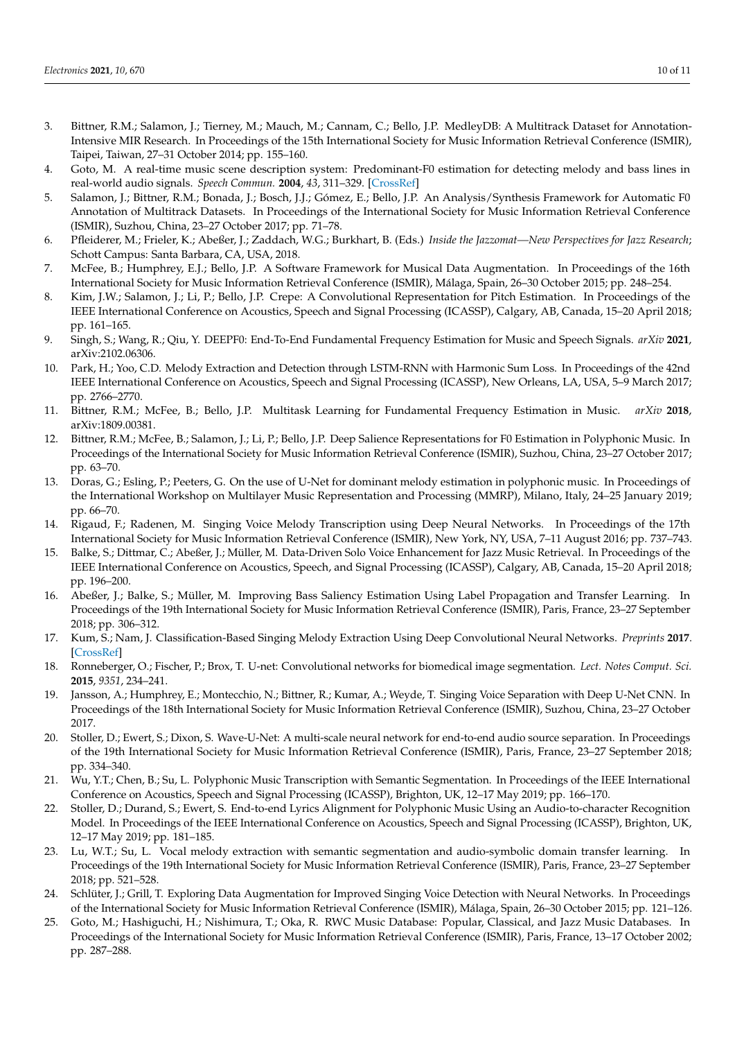- <span id="page-9-0"></span>3. Bittner, R.M.; Salamon, J.; Tierney, M.; Mauch, M.; Cannam, C.; Bello, J.P. MedleyDB: A Multitrack Dataset for Annotation-Intensive MIR Research. In Proceedings of the 15th International Society for Music Information Retrieval Conference (ISMIR), Taipei, Taiwan, 27–31 October 2014; pp. 155–160.
- <span id="page-9-1"></span>4. Goto, M. A real-time music scene description system: Predominant-F0 estimation for detecting melody and bass lines in real-world audio signals. *Speech Commun.* **2004**, *43*, 311–329. [\[CrossRef\]](http://doi.org/10.1016/j.specom.2004.07.001)
- <span id="page-9-2"></span>5. Salamon, J.; Bittner, R.M.; Bonada, J.; Bosch, J.J.; Gómez, E.; Bello, J.P. An Analysis/Synthesis Framework for Automatic F0 Annotation of Multitrack Datasets. In Proceedings of the International Society for Music Information Retrieval Conference (ISMIR), Suzhou, China, 23–27 October 2017; pp. 71–78.
- <span id="page-9-3"></span>6. Pfleiderer, M.; Frieler, K.; Abeßer, J.; Zaddach, W.G.; Burkhart, B. (Eds.) *Inside the Jazzomat—New Perspectives for Jazz Research*; Schott Campus: Santa Barbara, CA, USA, 2018.
- <span id="page-9-4"></span>7. McFee, B.; Humphrey, E.J.; Bello, J.P. A Software Framework for Musical Data Augmentation. In Proceedings of the 16th International Society for Music Information Retrieval Conference (ISMIR), Málaga, Spain, 26–30 October 2015; pp. 248–254.
- <span id="page-9-5"></span>8. Kim, J.W.; Salamon, J.; Li, P.; Bello, J.P. Crepe: A Convolutional Representation for Pitch Estimation. In Proceedings of the IEEE International Conference on Acoustics, Speech and Signal Processing (ICASSP), Calgary, AB, Canada, 15–20 April 2018; pp. 161–165.
- <span id="page-9-6"></span>9. Singh, S.; Wang, R.; Qiu, Y. DEEPF0: End-To-End Fundamental Frequency Estimation for Music and Speech Signals. *arXiv* **2021**, arXiv:2102.06306.
- <span id="page-9-7"></span>10. Park, H.; Yoo, C.D. Melody Extraction and Detection through LSTM-RNN with Harmonic Sum Loss. In Proceedings of the 42nd IEEE International Conference on Acoustics, Speech and Signal Processing (ICASSP), New Orleans, LA, USA, 5–9 March 2017; pp. 2766–2770.
- <span id="page-9-8"></span>11. Bittner, R.M.; McFee, B.; Bello, J.P. Multitask Learning for Fundamental Frequency Estimation in Music. *arXiv* **2018**, arXiv:1809.00381.
- 12. Bittner, R.M.; McFee, B.; Salamon, J.; Li, P.; Bello, J.P. Deep Salience Representations for F0 Estimation in Polyphonic Music. In Proceedings of the International Society for Music Information Retrieval Conference (ISMIR), Suzhou, China, 23–27 October 2017; pp. 63–70.
- <span id="page-9-9"></span>13. Doras, G.; Esling, P.; Peeters, G. On the use of U-Net for dominant melody estimation in polyphonic music. In Proceedings of the International Workshop on Multilayer Music Representation and Processing (MMRP), Milano, Italy, 24–25 January 2019; pp. 66–70.
- <span id="page-9-10"></span>14. Rigaud, F.; Radenen, M. Singing Voice Melody Transcription using Deep Neural Networks. In Proceedings of the 17th International Society for Music Information Retrieval Conference (ISMIR), New York, NY, USA, 7–11 August 2016; pp. 737–743.
- 15. Balke, S.; Dittmar, C.; Abeßer, J.; Müller, M. Data-Driven Solo Voice Enhancement for Jazz Music Retrieval. In Proceedings of the IEEE International Conference on Acoustics, Speech, and Signal Processing (ICASSP), Calgary, AB, Canada, 15–20 April 2018; pp. 196–200.
- <span id="page-9-11"></span>16. Abeßer, J.; Balke, S.; Müller, M. Improving Bass Saliency Estimation Using Label Propagation and Transfer Learning. In Proceedings of the 19th International Society for Music Information Retrieval Conference (ISMIR), Paris, France, 23–27 September 2018; pp. 306–312.
- <span id="page-9-12"></span>17. Kum, S.; Nam, J. Classification-Based Singing Melody Extraction Using Deep Convolutional Neural Networks. *Preprints* **2017**. [\[CrossRef\]](http://dx.doi.org/10.20944/preprints201711.0027.v1)
- <span id="page-9-13"></span>18. Ronneberger, O.; Fischer, P.; Brox, T. U-net: Convolutional networks for biomedical image segmentation. *Lect. Notes Comput. Sci.* **2015**, *9351*, 234–241.
- <span id="page-9-14"></span>19. Jansson, A.; Humphrey, E.; Montecchio, N.; Bittner, R.; Kumar, A.; Weyde, T. Singing Voice Separation with Deep U-Net CNN. In Proceedings of the 18th International Society for Music Information Retrieval Conference (ISMIR), Suzhou, China, 23–27 October 2017.
- <span id="page-9-15"></span>20. Stoller, D.; Ewert, S.; Dixon, S. Wave-U-Net: A multi-scale neural network for end-to-end audio source separation. In Proceedings of the 19th International Society for Music Information Retrieval Conference (ISMIR), Paris, France, 23–27 September 2018; pp. 334–340.
- <span id="page-9-16"></span>21. Wu, Y.T.; Chen, B.; Su, L. Polyphonic Music Transcription with Semantic Segmentation. In Proceedings of the IEEE International Conference on Acoustics, Speech and Signal Processing (ICASSP), Brighton, UK, 12–17 May 2019; pp. 166–170.
- <span id="page-9-17"></span>22. Stoller, D.; Durand, S.; Ewert, S. End-to-end Lyrics Alignment for Polyphonic Music Using an Audio-to-character Recognition Model. In Proceedings of the IEEE International Conference on Acoustics, Speech and Signal Processing (ICASSP), Brighton, UK, 12–17 May 2019; pp. 181–185.
- <span id="page-9-18"></span>23. Lu, W.T.; Su, L. Vocal melody extraction with semantic segmentation and audio-symbolic domain transfer learning. In Proceedings of the 19th International Society for Music Information Retrieval Conference (ISMIR), Paris, France, 23–27 September 2018; pp. 521–528.
- <span id="page-9-19"></span>24. Schlüter, J.; Grill, T. Exploring Data Augmentation for Improved Singing Voice Detection with Neural Networks. In Proceedings of the International Society for Music Information Retrieval Conference (ISMIR), Málaga, Spain, 26–30 October 2015; pp. 121–126.
- <span id="page-9-20"></span>25. Goto, M.; Hashiguchi, H.; Nishimura, T.; Oka, R. RWC Music Database: Popular, Classical, and Jazz Music Databases. In Proceedings of the International Society for Music Information Retrieval Conference (ISMIR), Paris, France, 13–17 October 2002; pp. 287–288.